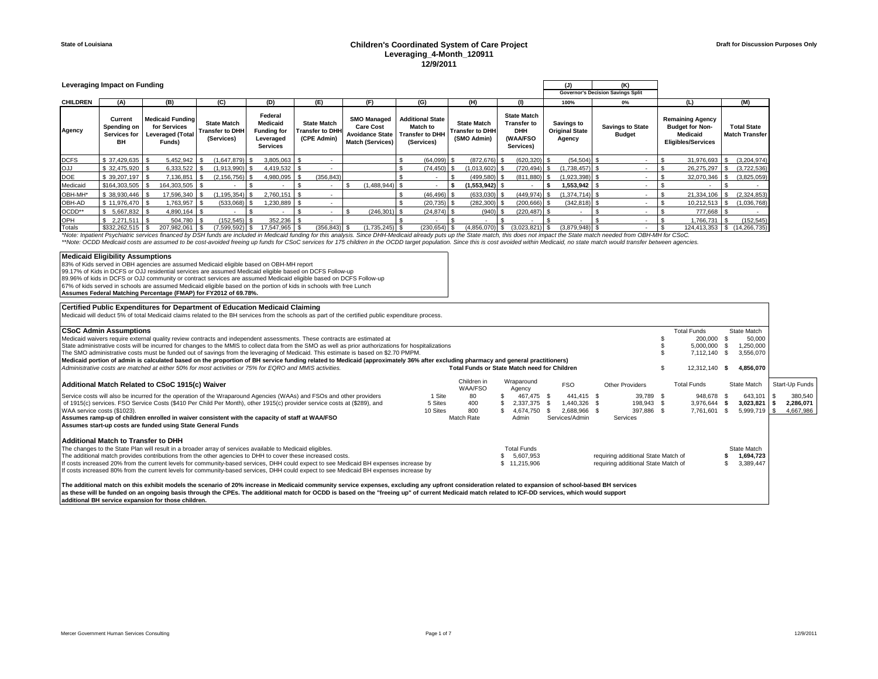## **State of Louisiana Children's Coordinated System of Care Project Leveraging\_4-Month\_120911 12/9/2011**

|                 | Leveraging Impact on Funding                        |                                                                              |                                                            | (J)                                                                              | (K)                                                         |                                                                                             |                                                                             |                                                             |                                                                                         |                                                      |                                          |                                                                                            |                                      |
|-----------------|-----------------------------------------------------|------------------------------------------------------------------------------|------------------------------------------------------------|----------------------------------------------------------------------------------|-------------------------------------------------------------|---------------------------------------------------------------------------------------------|-----------------------------------------------------------------------------|-------------------------------------------------------------|-----------------------------------------------------------------------------------------|------------------------------------------------------|------------------------------------------|--------------------------------------------------------------------------------------------|--------------------------------------|
|                 |                                                     |                                                                              |                                                            |                                                                                  |                                                             |                                                                                             |                                                                             |                                                             |                                                                                         |                                                      | Governor's Decision Savings Split        |                                                                                            |                                      |
| <b>CHILDREN</b> | (A)                                                 | (B)                                                                          | (C)                                                        | (D)                                                                              | (E)                                                         | (F)                                                                                         | (G)                                                                         | (H)                                                         | (1)                                                                                     | 100%                                                 | 0%                                       | (L)                                                                                        | (M)                                  |
| Agency          | Current<br>Spending on<br><b>Services for</b><br>BH | <b>Medicaid Funding</b><br>for Services<br><b>Leveraged (Total</b><br>Funds) | <b>State Match</b><br><b>Transfer to DHH</b><br>(Services) | Federal<br><b>Medicaid</b><br><b>Funding for</b><br>Leveraged<br><b>Services</b> | <b>State Match</b><br><b>Transfer to DHH</b><br>(CPE Admin) | <b>SMO Managed</b><br><b>Care Cost</b><br><b>Avoidance State</b><br><b>Match (Services)</b> | <b>Additional State</b><br>Match to<br><b>Transfer to DHH</b><br>(Services) | <b>State Match</b><br><b>Transfer to DHH</b><br>(SMO Admin) | <b>State Match</b><br><b>Transfer to</b><br><b>DHH</b><br><b>(WAA/FSO)</b><br>Services) | <b>Savings to</b><br><b>Original State</b><br>Agency | <b>Savings to State</b><br><b>Budget</b> | <b>Remaining Agency</b><br><b>Budget for Non-</b><br>Medicaid<br><b>Eligibles/Services</b> | <b>Total State</b><br>Match Transfer |
| <b>DCFS</b>     | \$37,429,635                                        | 5,452,942                                                                    | $(1,647,879)$ \$                                           | 3,805,063                                                                        |                                                             |                                                                                             | $(64,099)$ \$                                                               | $(872, 676)$ \$                                             | $(620, 320)$ \$                                                                         | $(54, 504)$ \$                                       |                                          | $31,976,693$ \$                                                                            | (3,204,974)                          |
| LLO             | \$32,475,920 \$                                     | 6.333.522                                                                    | $(1,913,990)$ \$                                           | 4.419.532 \$                                                                     | $\overline{\phantom{a}}$                                    |                                                                                             | $(74.450)$ \$                                                               | $(1,013,602)$ \$                                            | $(720, 494)$ \$                                                                         | $(1,738,457)$ \$                                     |                                          | 26,275,297                                                                                 | (3,722,536)                          |
| DOE             | $$39,207,197$ \\$                                   | 7,136,851                                                                    | $(2, 156, 756)$ \$                                         | 4,980,095                                                                        | (356, 843)                                                  |                                                                                             |                                                                             | $(499,580)$ \$                                              | $(811, 880)$ \$                                                                         | $(1,923,398)$ \$                                     |                                          | 32,070,346                                                                                 | (3,825,059)                          |
| Medicaid        | $$164,303,505$ \\$                                  | 164,303,505 \$                                                               |                                                            |                                                                                  | ۰                                                           | $(1,488,944)$ \$                                                                            |                                                                             | $(1,553,942)$ \$                                            |                                                                                         | $1,553,942$ \$                                       |                                          |                                                                                            |                                      |
| OBH-MH*         |                                                     | 17.596.340                                                                   | $(1, 195, 354)$ \$                                         | 2,760,151                                                                        | - 55<br>$\sim$                                              |                                                                                             | $(46, 496)$ \$                                                              | $(633,030)$ \$                                              | $(449.974)$ \$                                                                          | $(1,374,714)$ \$                                     |                                          | 21,334,106                                                                                 | (2,324,853)                          |
| OBH-AD          | $$11.976.470$ \ \$                                  | 1.763.957                                                                    | $(533,068)$ \$                                             | 1,230,889                                                                        |                                                             |                                                                                             | $(20, 735)$ \$                                                              | $(282, 300)$ \$                                             | $(200, 666)$ \$                                                                         | $(342, 818)$ \$                                      |                                          | 10,212,513 \$                                                                              | (1,036,768)                          |
| OCDD**          | $$5,667,832$ \ \ \$                                 | 4,890,164 \$                                                                 |                                                            |                                                                                  |                                                             | $(246, 301)$ \$                                                                             | $(24, 874)$ \$                                                              | $(940)$ \$                                                  | $(220, 487)$ \$                                                                         |                                                      |                                          | 777,668 \$                                                                                 |                                      |
| OPH             | $$2.271.511$ $$$                                    | 504.780 \$                                                                   | $(152.545)$ \$                                             | 352.236                                                                          |                                                             |                                                                                             |                                                                             |                                                             |                                                                                         |                                                      |                                          | 1,766,731                                                                                  | (152, 545)                           |
| Totals          |                                                     | 207.982.061 \$                                                               | $(7.599.592)$ \$                                           | 17.547.965 \$                                                                    | $(356.843)$ \$                                              | $(1.735.245)$ \$                                                                            | $(230.654)$ \$                                                              | $(4.856.070)$ \$                                            | $(3.023.821)$ \$                                                                        | $(3.879.948)$ \$                                     |                                          |                                                                                            | 124.413.353 \$ (14.266.735)          |

Totals 1932/262,515 | \$ 207,982,061 | \$ (7,599,592) | \$ 17,547,965 | \$ (356,843) | \$ (1,735,245) | \$ (230,654) | \$ (4,856,070) | \$ (3,023,821) | \$ (3,79,948) | \$ 124,480,796 | \$ 124,413,353 | \$ (14,266,735) } \$ (14,266,735

### **Medicaid Eligibility Assumptions**

83% of Kids served in OBH agencies are assumed Medicaid eligible based on OBH-MH report 99.17% of Kids in DCFS or OJJ residential services are assumed Medicaid eligible based on DCFS Follow-up

89.96% of kids in DCFS or OJJ community or contract services are assumed Medicaid eligible based on DCFS Follow-up<br>67% of kids served in schools are assumed Medicaid eligible based on the portion of kids in schools with fr

| Certified Public Expenditures for Department of Education Medicaid Claiming                                                                                                                           |          |                                                     |                    |                |                                     |      |                    |      |             |                 |
|-------------------------------------------------------------------------------------------------------------------------------------------------------------------------------------------------------|----------|-----------------------------------------------------|--------------------|----------------|-------------------------------------|------|--------------------|------|-------------|-----------------|
| Medicaid will deduct 5% of total Medicaid claims related to the BH services from the schools as part of the certified public expenditure process.                                                     |          |                                                     |                    |                |                                     |      |                    |      |             |                 |
|                                                                                                                                                                                                       |          |                                                     |                    |                |                                     |      |                    |      |             |                 |
| <b>CSoC Admin Assumptions</b>                                                                                                                                                                         |          |                                                     |                    |                |                                     |      | <b>Total Funds</b> |      | State Match |                 |
| Medicaid waivers require external quality review contracts and independent assessments. These contracts are estimated at                                                                              |          |                                                     |                    |                |                                     |      | 200,000            |      | 50,000      |                 |
| State administrative costs will be incurred for changes to the MMIS to collect data from the SMO as well as prior authorizations for hospitalizations                                                 |          |                                                     |                    |                |                                     |      | 5,000,000          |      | 1,250,000   |                 |
| The SMO administrative costs must be funded out of savings from the leveraging of Medicaid. This estimate is based on \$2.70 PMPM.                                                                    |          |                                                     |                    |                |                                     |      | 7,112,140          | - 96 | 3,556,070   |                 |
| Medicaid portion of admin is calculated based on the proportion of BH service funding related to Medicaid (approximately 36% after excluding pharmacy and general practitioners)                      |          |                                                     |                    |                |                                     |      |                    |      |             |                 |
| Administrative costs are matched at either 50% for most activities or 75% for EQRO and MMIS activities.                                                                                               |          | <b>Total Funds or State Match need for Children</b> |                    |                |                                     |      | 12,312,140         | -SS  | 4,856,070   |                 |
|                                                                                                                                                                                                       |          | Children in                                         | Wraparound         |                |                                     |      |                    |      |             |                 |
| Additional Match Related to CSoC 1915(c) Waiver                                                                                                                                                       |          | <b>WAA/FSO</b>                                      | Agency             | <b>FSO</b>     | <b>Other Providers</b>              |      | <b>Total Funds</b> |      | State Match | Start-Up Funds  |
| Service costs will also be incurred for the operation of the Wraparound Agencies (WAAs) and FSOs and other providers                                                                                  | 1 Site   | 80                                                  | 467.475 \$         | 441.415 \$     | 39,789 \$                           |      | 948,678 \$         |      | 643,101     | 380,540         |
| of 1915(c) services. FSO Service Costs (\$410 Per Child Per Month), other 1915(c) provider service costs at (\$289), and                                                                              | 5 Sites  | 400                                                 | 2,337,375 \$       | 1.440.326 \$   | 198,943 \$                          |      | 3,976,644          |      | 3,023,821   | 2,286,071       |
| WAA service costs (\$1023).                                                                                                                                                                           | 10 Sites | 800                                                 | 4,674,750          | 2.688.966 \$   | 397.886                             | - \$ | 7,761,601          |      | 5,999,719   | \$<br>4,667,986 |
| Assumes ramp-up of children enrolled in waiver consistent with the capacity of staff at WAA/FSO                                                                                                       |          | Match Rate                                          | Admin              | Services/Admin | Services                            |      |                    |      |             |                 |
| Assumes start-up costs are funded using State General Funds                                                                                                                                           |          |                                                     |                    |                |                                     |      |                    |      |             |                 |
|                                                                                                                                                                                                       |          |                                                     |                    |                |                                     |      |                    |      |             |                 |
| Additional Match to Transfer to DHH                                                                                                                                                                   |          |                                                     |                    |                |                                     |      |                    |      |             |                 |
| The changes to the State Plan will result in a broader array of services available to Medicaid eligibles.                                                                                             |          |                                                     | <b>Total Funds</b> |                |                                     |      |                    |      | State Match |                 |
| The additional match provides contributions from the other agencies to DHH to cover these increased costs.                                                                                            |          |                                                     | 5,607,953          |                | requiring additional State Match of |      |                    |      | 1,694,723   |                 |
| If costs increased 20% from the current levels for community-based services, DHH could expect to see Medicaid BH expenses increase by                                                                 |          |                                                     | \$11,215,906       |                | requiring additional State Match of |      |                    |      | 3,389,447   |                 |
| If costs increased 80% from the current levels for community-based services, DHH could expect to see Medicaid BH expenses increase by                                                                 |          |                                                     |                    |                |                                     |      |                    |      |             |                 |
| The additional match on this exhibit models the scenario of 20% increase in Medicaid community service expenses, excluding any unfront consideration related to expansion of school-based BH services |          |                                                     |                    |                |                                     |      |                    |      |             |                 |

The additional match on this exhibit models the scenario of 20% increase in Medicaid community service expenses, excluding any upfront consideration related to expansion of school-based BH services<br>as these will be funded **additional BH service expansion for those children.**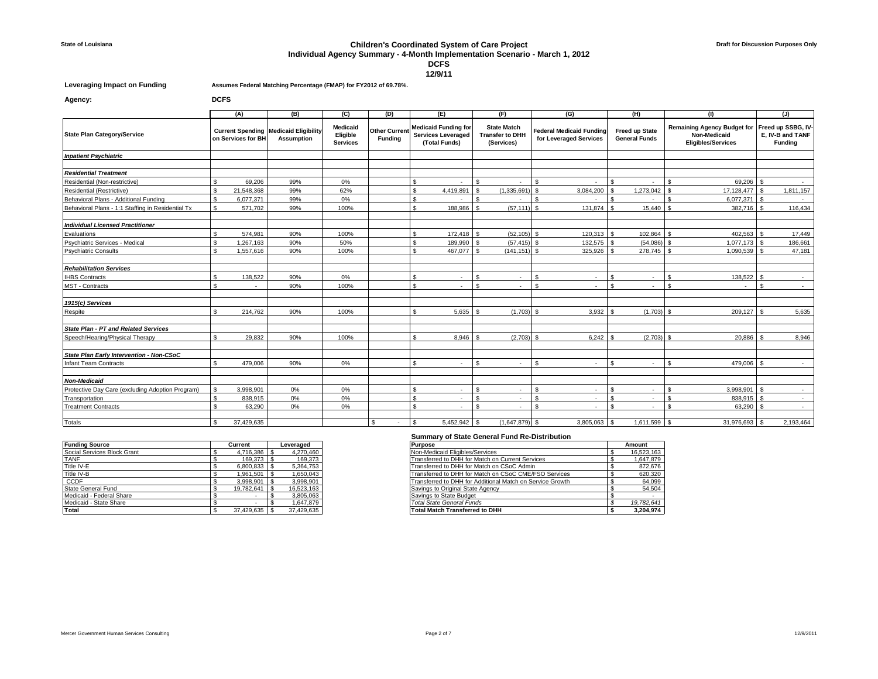#### **State of Louisiana Children's Coordinated System of Care Project**

# **Individual Agency Summary - 4-Month Implementation Scenario - March 1, 2012**

**DCFS**

**12/9/11**

**Agency: DCFS**

**Leveraging Impact on Funding Assumes Federal Matching Percentage (FMAP) for FY2012 of 69.78%.**

|                                                                                            |     | (A)                  | (B)                                                               | (C)                                     | (D)                                   |              | (E)                                                                       |     | (F)                                                        |                | (G)                                                       |                    | (H)                                           |                | (1)                                                                             |                              | (J)                                               |
|--------------------------------------------------------------------------------------------|-----|----------------------|-------------------------------------------------------------------|-----------------------------------------|---------------------------------------|--------------|---------------------------------------------------------------------------|-----|------------------------------------------------------------|----------------|-----------------------------------------------------------|--------------------|-----------------------------------------------|----------------|---------------------------------------------------------------------------------|------------------------------|---------------------------------------------------|
| <b>State Plan Category/Service</b>                                                         |     | on Services for BH   | <b>Current Spending Medicaid Eligibility</b><br><b>Assumption</b> | Medicaid<br>Eligible<br><b>Services</b> | <b>Other Curren</b><br><b>Funding</b> |              | <b>Medicaid Funding for</b><br><b>Services Leveraged</b><br>(Total Funds) |     | <b>State Match</b><br><b>Transfer to DHH</b><br>(Services) |                | <b>Federal Medicaid Funding</b><br>for Leveraged Services |                    | <b>Freed up State</b><br><b>General Funds</b> |                | <b>Remaining Agency Budget for</b><br>Non-Medicaid<br><b>Eligibles/Services</b> |                              | Freed up SSBG, IV-<br>E. IV-B and TANF<br>Funding |
| <b>Inpatient Psychiatric</b>                                                               |     |                      |                                                                   |                                         |                                       |              |                                                                           |     |                                                            |                |                                                           |                    |                                               |                |                                                                                 |                              |                                                   |
|                                                                                            |     |                      |                                                                   |                                         |                                       |              |                                                                           |     |                                                            |                |                                                           |                    |                                               |                |                                                                                 |                              |                                                   |
| <b>Residential Treatment</b>                                                               |     |                      |                                                                   |                                         |                                       |              |                                                                           |     |                                                            |                |                                                           |                    |                                               |                |                                                                                 |                              |                                                   |
| Residential (Non-restrictive)                                                              |     | 69.206               | 99%                                                               | 0%                                      |                                       | \$           |                                                                           | £.  |                                                            | $\mathfrak{L}$ |                                                           |                    |                                               |                | 69,206                                                                          | $\mathbf{s}$<br>$\hat{\tau}$ |                                                   |
| Residential (Restrictive)                                                                  |     | 21,548,368           | 99%                                                               | 62%                                     |                                       | \$           | 4,419,891                                                                 |     | (1,335,691)                                                |                | 3,084,200                                                 |                    | 1,273,042                                     |                | 17,128,477                                                                      |                              | 1,811,157                                         |
| Behavioral Plans - Additional Funding<br>Behavioral Plans - 1:1 Staffing in Residential Tx |     | 6,077,371<br>571,702 | 99%<br>99%                                                        | 0%<br>100%                              |                                       | \$<br>¢      | 188,986                                                                   |     | (57, 111)                                                  | £.             | 131,874                                                   |                    | 15,440                                        |                | 6,077,371<br>382,716                                                            | - \$                         | 116,434                                           |
|                                                                                            |     |                      |                                                                   |                                         |                                       |              |                                                                           |     |                                                            |                |                                                           |                    |                                               |                |                                                                                 |                              |                                                   |
| <b>Individual Licensed Practitioner</b>                                                    |     |                      |                                                                   |                                         |                                       |              |                                                                           |     |                                                            |                |                                                           |                    |                                               |                |                                                                                 |                              |                                                   |
| Evaluations                                                                                |     | 574,981              | 90%                                                               | 100%                                    |                                       | \$           | 172,418                                                                   | £.  | $(52, 105)$ \$                                             |                | 120,313                                                   | £.                 | 102,864 \$                                    |                | 402,563                                                                         | - \$                         | 17,449                                            |
| Psychiatric Services - Medical                                                             |     | 1.267.163            | 90%                                                               | 50%                                     |                                       | \$           | 189.990                                                                   |     | $(57.415)$ \$                                              |                | 132,575                                                   |                    | $(54.086)$ \$                                 |                | 1.077.173                                                                       |                              | 186.661                                           |
| <b>Psychiatric Consults</b>                                                                |     | 1,557,616            | 90%                                                               | 100%                                    |                                       |              | 467,077                                                                   |     | (141.151)                                                  |                | 325,926                                                   |                    | 278.745                                       |                | 1,090,539                                                                       |                              | 47,181                                            |
| <b>Rehabilitation Services</b>                                                             |     |                      |                                                                   |                                         |                                       |              |                                                                           |     |                                                            |                |                                                           |                    |                                               |                |                                                                                 |                              |                                                   |
| <b>IHBS Contracts</b>                                                                      |     | 138,522              | 90%                                                               | 0%                                      |                                       | \$           | ٠                                                                         | \$. | $\sim$                                                     | $\mathfrak{L}$ |                                                           |                    |                                               |                | 138,522 \$                                                                      |                              | $\sim$                                            |
| <b>MST</b> - Contracts                                                                     |     |                      | 90%                                                               | 100%                                    |                                       | \$           |                                                                           | ፍ   |                                                            | ፍ              |                                                           | \$.                |                                               |                |                                                                                 | \$                           |                                                   |
| 1915(c) Services                                                                           |     |                      |                                                                   |                                         |                                       |              |                                                                           |     |                                                            |                |                                                           |                    |                                               |                |                                                                                 |                              |                                                   |
| Respite                                                                                    |     | 214,762              | 90%                                                               | 100%                                    |                                       | ፍ            | 5.635                                                                     |     | $(1.703)$ \$                                               |                | 3.932                                                     | ፍ                  | $(1.703)$ \$                                  |                | 209.127 \$                                                                      |                              | 5,635                                             |
|                                                                                            |     |                      |                                                                   |                                         |                                       |              |                                                                           |     |                                                            |                |                                                           |                    |                                               |                |                                                                                 |                              |                                                   |
| <b>State Plan - PT and Related Services</b>                                                |     |                      |                                                                   |                                         |                                       |              |                                                                           |     |                                                            |                |                                                           |                    |                                               |                |                                                                                 |                              |                                                   |
| Speech/Hearing/Physical Therapy                                                            |     | 29.832               | 90%                                                               | 100%                                    |                                       | ¢            | 8.946                                                                     |     | $(2.703)$ \$                                               |                | 6.242                                                     | ¢                  | $(2.703)$ \$                                  |                | 20.886                                                                          |                              | 8,946                                             |
| State Plan Early Intervention - Non-CSoC                                                   |     |                      |                                                                   |                                         |                                       |              |                                                                           |     |                                                            |                |                                                           |                    |                                               |                |                                                                                 |                              |                                                   |
| Infant Team Contracts                                                                      |     | 479.006              | 90%                                                               | 0%                                      |                                       | \$           | ٠                                                                         | £.  | $\sim$                                                     | \$             |                                                           | $\mathbf{\hat{S}}$ | ×.                                            | $\mathfrak{L}$ | 479,006 \$                                                                      |                              | $\sim$                                            |
| <b>Non-Medicaid</b>                                                                        |     |                      |                                                                   |                                         |                                       |              |                                                                           |     |                                                            |                |                                                           |                    |                                               |                |                                                                                 |                              |                                                   |
| Protective Day Care (excluding Adoption Program)                                           | s.  | 3.998.901            | 0%                                                                | 0%                                      |                                       | \$           | $\sim$                                                                    | \$. | $\sim$                                                     | $\mathfrak{L}$ |                                                           | \$                 | $\sim$                                        |                | $3.998.901$ \$                                                                  |                              | $\sim$                                            |
| Transportation                                                                             |     | 838.915              | 0%                                                                | 0%                                      |                                       | \$           | $\sim$                                                                    |     | $\sim$                                                     | $\mathfrak{L}$ |                                                           | \$                 | ٠                                             |                | 838,915                                                                         | $\mathbf{s}$                 | $\sim$                                            |
| <b>Treatment Contracts</b>                                                                 |     | 63.290               | 0%                                                                | $0\%$                                   |                                       | \$           | $\sim$                                                                    | ç   | $\sim$                                                     | $\mathfrak{L}$ |                                                           | \$.                | ٠                                             |                | 63.290                                                                          | $\mathbf{\hat{z}}$           | $\sim$                                            |
| <b>Totals</b>                                                                              | . ፍ | 37.429.635           |                                                                   |                                         | \$.<br>$\sim$                         | $\mathbf{s}$ | $5.452.942$ \ \$                                                          |     | $(1.647.879)$ \$                                           |                | 3,805,063                                                 | l S                | $1.611.599$ \ \$                              |                | 31,976,693                                                                      |                              | 2.193.464                                         |

| <b>Funding Source</b>       | Current        | Leveraged  | Purpose                                                   | Amount     |
|-----------------------------|----------------|------------|-----------------------------------------------------------|------------|
| Social Services Block Grant | 4.716.386 \$   | 4,270,460  | Non-Medicaid Eligibles/Services                           | 16,523,163 |
| <b>TANF</b>                 | 169.373 \$     | 169.373    | Transferred to DHH for Match on Current Services          |            |
| Title IV-E                  |                | 5,364,753  | Transferred to DHH for Match on CSoC Admin                |            |
| Title IV-B                  | 1.961.501   \$ | 1,650,043  | Transferred to DHH for Match on CSoC CME/FSO Services     |            |
| <b>CCDF</b>                 | 3.998.901      | 3.998.901  | Transferred to DHH for Additional Match on Service Growth |            |
| State General Fund          | 19.782.641     | 16,523,163 | Savings to Original State Agency                          |            |
| Medicaid - Federal Share    |                | 3.805.063  | Savings to State Budget                                   |            |
| Medicaid - State Share      |                | 1.647.879  | Total State General Funds                                 | 19,782,641 |
| Total                       | 37.429.635     | 37.429.635 | <b>Total Match Transferred to DHH</b>                     |            |

| <b>Purpose</b>                                            | Amount     |
|-----------------------------------------------------------|------------|
| Non-Medicaid Eligibles/Services                           | 16.523.163 |
| Transferred to DHH for Match on Current Services          | 1,647,879  |
| Transferred to DHH for Match on CSoC Admin                | 872.676    |
| Transferred to DHH for Match on CSoC CME/FSO Services     | 620.320    |
| Transferred to DHH for Additional Match on Service Growth | 64.099     |
| Savings to Original State Agency                          | 54.504     |
| Savings to State Budget                                   |            |
| <b>Total State General Funds</b>                          | 19,782,641 |
| <b>Total Match Transferred to DHH</b>                     | 3.204.974  |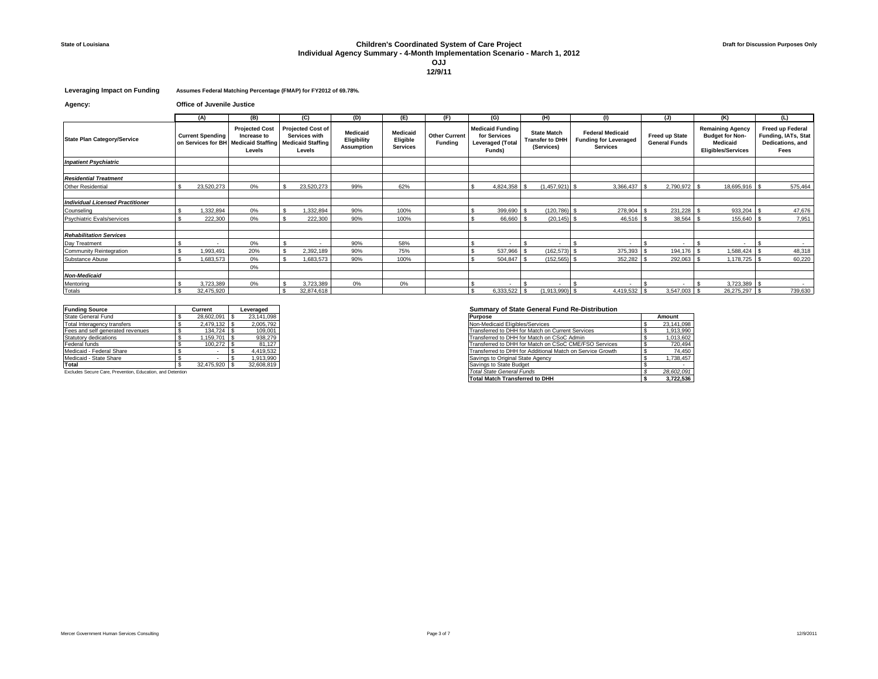## **State of Louisiana Children's Coordinated System of Care Project Individual Agency Summary - 4-Month Implementation Scenario - March 1, 2012 OJJ**

**12/9/11**

#### **Leveraging Impact on Funding Assumes Federal Matching Percentage (FMAP) for FY2012 of 69.78%.**

**Agency: Office of Juvenile Justice**

|                                         |  | (A)                                                                                                                         | (B)   |                                                                                 | (C)        | (D)                                          | (E)                                            | (F)                                    |                                                                              | (G)                      |                                                     | (H)                      |                                                                            | (1)                      |                                        | (J)                      | (K)                                                                                        | (L)                                                                 |
|-----------------------------------------|--|-----------------------------------------------------------------------------------------------------------------------------|-------|---------------------------------------------------------------------------------|------------|----------------------------------------------|------------------------------------------------|----------------------------------------|------------------------------------------------------------------------------|--------------------------|-----------------------------------------------------|--------------------------|----------------------------------------------------------------------------|--------------------------|----------------------------------------|--------------------------|--------------------------------------------------------------------------------------------|---------------------------------------------------------------------|
| <b>State Plan Category/Service</b>      |  | <b>Projected Cost</b><br><b>Current Spending</b><br>Increase to<br>on Services for BH<br><b>Medicaid Staffing</b><br>Levels |       | <b>Projected Cost of</b><br>Services with<br><b>Medicaid Staffing</b><br>Levels |            | Medicaid<br>Eligibility<br><b>Assumption</b> | <b>Medicaid</b><br>Eligible<br><b>Services</b> | <b>Other Current</b><br><b>Funding</b> | <b>Medicaid Funding</b><br>for Services<br><b>Leveraged (Total</b><br>Funds) |                          | <b>State Match</b><br>Transfer to DHH<br>(Services) |                          | <b>Federal Medicaid</b><br><b>Funding for Leveraged</b><br><b>Services</b> |                          | Freed up State<br><b>General Funds</b> |                          | <b>Remaining Agency</b><br><b>Budget for Non-</b><br>Medicaid<br><b>Eligibles/Services</b> | Freed up Federal<br>Funding, IATs, Stat<br>Dedications, and<br>Fees |
| <b>Inpatient Psychiatric</b>            |  |                                                                                                                             |       |                                                                                 |            |                                              |                                                |                                        |                                                                              |                          |                                                     |                          |                                                                            |                          |                                        |                          |                                                                                            |                                                                     |
|                                         |  |                                                                                                                             |       |                                                                                 |            |                                              |                                                |                                        |                                                                              |                          |                                                     |                          |                                                                            |                          |                                        |                          |                                                                                            |                                                                     |
| <b>Residential Treatment</b>            |  |                                                                                                                             |       |                                                                                 |            |                                              |                                                |                                        |                                                                              |                          |                                                     |                          |                                                                            |                          |                                        |                          |                                                                                            |                                                                     |
| Other Residential                       |  | 23,520,273                                                                                                                  | $0\%$ |                                                                                 | 23,520,273 | 99%                                          | 62%                                            |                                        |                                                                              | 4,824,358                |                                                     | $(1,457,921)$ \$         |                                                                            | 3,366,437                |                                        | 2,790,972 \$             | 18,695,916 \$                                                                              | 575,464                                                             |
|                                         |  |                                                                                                                             |       |                                                                                 |            |                                              |                                                |                                        |                                                                              |                          |                                                     |                          |                                                                            |                          |                                        |                          |                                                                                            |                                                                     |
| <b>Individual Licensed Practitioner</b> |  |                                                                                                                             |       |                                                                                 |            |                                              |                                                |                                        |                                                                              |                          |                                                     |                          |                                                                            |                          |                                        |                          |                                                                                            |                                                                     |
| Counseling                              |  | 1.332.894                                                                                                                   | $0\%$ |                                                                                 | 1.332.894  | 90%                                          | 100%                                           |                                        |                                                                              | 399.690                  |                                                     | $(120.786)$ \$           |                                                                            | 278,904                  |                                        | 231.228                  | 933.204                                                                                    | 47,676                                                              |
| Psychiatric Evals/services              |  | 222.300                                                                                                                     | $0\%$ |                                                                                 | 222,300    | 90%                                          | 100%                                           |                                        |                                                                              | 66,660                   |                                                     | $(20.145)$ \$            |                                                                            | 46,516                   |                                        | $38,564$ \$              | 155,640                                                                                    | 7,951                                                               |
| <b>Rehabilitation Services</b>          |  |                                                                                                                             |       |                                                                                 |            |                                              |                                                |                                        |                                                                              |                          |                                                     |                          |                                                                            |                          |                                        |                          |                                                                                            |                                                                     |
| Day Treatment                           |  | ۰.                                                                                                                          | $0\%$ |                                                                                 |            | 90%                                          | 58%                                            |                                        |                                                                              | $\overline{\phantom{a}}$ |                                                     | $\overline{\phantom{a}}$ |                                                                            | $\overline{\phantom{a}}$ |                                        | $\overline{\phantom{a}}$ |                                                                                            | $\sim$                                                              |
| Community Reintegration                 |  | 1,993,491                                                                                                                   | 20%   |                                                                                 | 2,392,189  | 90%                                          | 75%                                            |                                        |                                                                              | 537,966                  |                                                     | (162, 573)               |                                                                            | 375,393                  |                                        | 194,176                  | 1,588,424                                                                                  | 48,318                                                              |
| Substance Abuse                         |  | 1,683,573                                                                                                                   | $0\%$ |                                                                                 | 1,683,573  | 90%                                          | 100%                                           |                                        |                                                                              | 504,847                  |                                                     | $(152, 565)$ \$          |                                                                            | 352,282                  |                                        | 292,063                  | 1,178,725                                                                                  | 60,220                                                              |
|                                         |  |                                                                                                                             | $0\%$ |                                                                                 |            |                                              |                                                |                                        |                                                                              |                          |                                                     |                          |                                                                            |                          |                                        |                          |                                                                                            |                                                                     |
| <b>Non-Medicaid</b>                     |  |                                                                                                                             |       |                                                                                 |            |                                              |                                                |                                        |                                                                              |                          |                                                     |                          |                                                                            |                          |                                        |                          |                                                                                            |                                                                     |
| Mentoring                               |  | 3,723,389                                                                                                                   | $0\%$ |                                                                                 | 3,723,389  | $0\%$                                        | 0%                                             |                                        |                                                                              |                          |                                                     | ٠                        |                                                                            |                          |                                        |                          | $3,723,389$ \$                                                                             |                                                                     |
| Totals                                  |  | 32.475.920                                                                                                                  |       |                                                                                 | 32.874.618 |                                              |                                                |                                        |                                                                              | 6.333.522                |                                                     | $(1,913,990)$ \$         |                                                                            | 4,419,532                |                                        | $3,547,003$ \$           | 26,275,297 \$                                                                              | 739,630                                                             |

| <b>Funding Source</b>            | Current    | Leveraged  | Summary of State General Fund Re-Distribution             |  |
|----------------------------------|------------|------------|-----------------------------------------------------------|--|
| State General Fund               | 28.602.091 | 23.141.098 | <b>Purpose</b>                                            |  |
| Total Interagency transfers      | 2.479.132  | 2.005.792  | Non-Medicaid Eligibles/Services                           |  |
| Fees and self generated revenues | 134.724    | 109,001    | Transferred to DHH for Match on Current Services          |  |
| Statutory dedications            | .159.701   | 938.279    | Transferred to DHH for Match on CSoC Admin                |  |
| Federal funds                    | 100.272    | 81.127     | Transferred to DHH for Match on CSoC CME/FSO Services     |  |
| Medicaid - Federal Share         |            | 4.419.532  | Transferred to DHH for Additional Match on Service Growth |  |
| Medicaid - State Share           |            | 1.913.990  | Savings to Original State Agency                          |  |
| Total                            | 32.475.920 | 32,608,819 | Savings to State Budget                                   |  |
|                                  |            |            |                                                           |  |

#### Excludes Secure Care, Prevention, Education, and Detention

### **Funding Source Current Leveraged Summary of State General Fund Re-Distribution**

| . <i>.</i>                                                 | ---------     | --------   |                                                           |  |
|------------------------------------------------------------|---------------|------------|-----------------------------------------------------------|--|
| State General Fund                                         | 28,602,091 \$ | 23.141.098 | Purpose                                                   |  |
| Total Interagency transfers                                | 2.479.132     | 2.005.792  | Non-Medicaid Eligibles/Services                           |  |
| Fees and self generated revenues                           | 134.724 S     | 109.001    | Transferred to DHH for Match on Current Services          |  |
| Statutory dedications                                      | $.159.701$ S  | 938.279    | Transferred to DHH for Match on CSoC Admin                |  |
| Federal funds                                              | 100.272       | 81.127     | Transferred to DHH for Match on CSoC CME/FSO Services     |  |
| Medicaid - Federal Share                                   |               | 4.419.532  | Transferred to DHH for Additional Match on Service Growth |  |
| Medicaid - State Share                                     |               | 1.913.990  | Savings to Original State Agency                          |  |
| Total                                                      | 32.475.920 \$ | 32,608,819 | Savings to State Budget                                   |  |
| Excludes Secure Care, Prevention, Education, and Detention |               |            | <b>Total State General Funds</b>                          |  |
|                                                            |               |            | <b>Total Match Transferred to DHH</b>                     |  |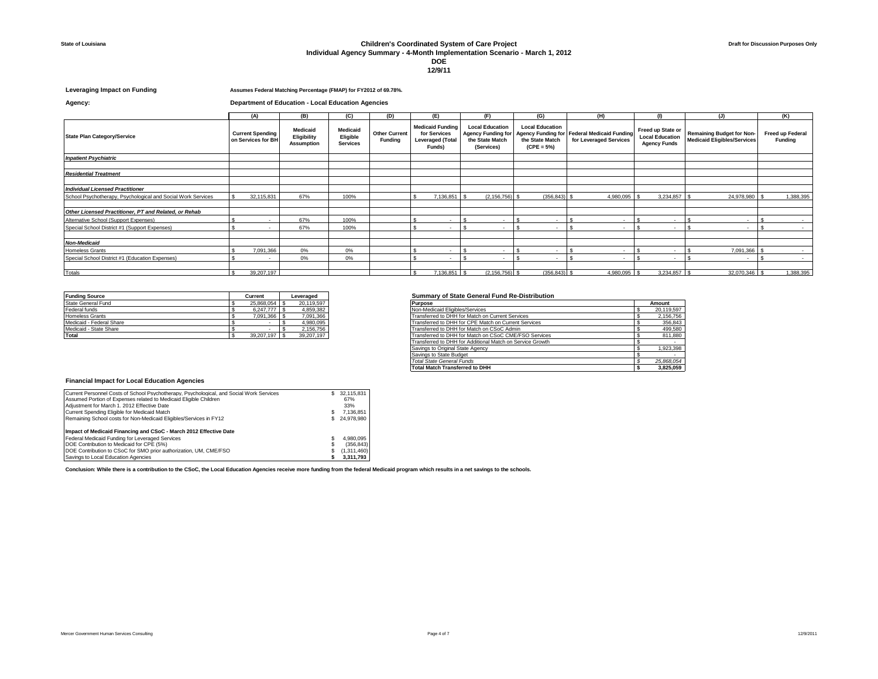# **State of Louisiana Children's Coordinated System of Care Project**

### **Individual Agency Summary - 4-Month Implementation Scenario - March 1, 2012**

# **DOE**

**12/9/11**

#### **Leveraging Impact on Funding Assumes Federal Matching Percentage (FMAP) for FY2012 of 69.78%.**

# **Agency: Department of Education - Local Education Agencies**

|                                                              |  | (A)                                           | (B)                                                 | (C)                                     | (D)                                    | (E)                                                                          | (F)                                                        |                          |                                                           | (G)                      |                                                                       | (H)                      | $\mathbf{u}$                                                       |                                                                        | (J)           | (K)                                |
|--------------------------------------------------------------|--|-----------------------------------------------|-----------------------------------------------------|-----------------------------------------|----------------------------------------|------------------------------------------------------------------------------|------------------------------------------------------------|--------------------------|-----------------------------------------------------------|--------------------------|-----------------------------------------------------------------------|--------------------------|--------------------------------------------------------------------|------------------------------------------------------------------------|---------------|------------------------------------|
| <b>State Plan Category/Service</b>                           |  | <b>Current Spending</b><br>on Services for BH | <b>Medicaid</b><br>Eligibility<br><b>Assumption</b> | Medicaid<br>Eligible<br><b>Services</b> | <b>Other Current</b><br><b>Funding</b> | <b>Medicaid Funding</b><br>for Services<br><b>Leveraged (Total</b><br>Funds) | <b>Agency Funding for</b><br>the State Match<br>(Services) | <b>Local Education</b>   | <b>Local Education</b><br>the State Match<br>$(CPE = 5%)$ |                          | Agency Funding for Federal Medicaid Funding<br>for Leveraged Services |                          | Freed up State or<br><b>Local Education</b><br><b>Agency Funds</b> | <b>Remaining Budget for Non-</b><br><b>Medicaid Eligibles/Services</b> |               | Freed up Federal<br><b>Funding</b> |
| <b>Inpatient Psychiatric</b>                                 |  |                                               |                                                     |                                         |                                        |                                                                              |                                                            |                          |                                                           |                          |                                                                       |                          |                                                                    |                                                                        |               |                                    |
|                                                              |  |                                               |                                                     |                                         |                                        |                                                                              |                                                            |                          |                                                           |                          |                                                                       |                          |                                                                    |                                                                        |               |                                    |
| <b>Residential Treatment</b>                                 |  |                                               |                                                     |                                         |                                        |                                                                              |                                                            |                          |                                                           |                          |                                                                       |                          |                                                                    |                                                                        |               |                                    |
|                                                              |  |                                               |                                                     |                                         |                                        |                                                                              |                                                            |                          |                                                           |                          |                                                                       |                          |                                                                    |                                                                        |               |                                    |
| <b>Individual Licensed Practitioner</b>                      |  |                                               |                                                     |                                         |                                        |                                                                              |                                                            |                          |                                                           |                          |                                                                       |                          |                                                                    |                                                                        |               |                                    |
| School Psychotherapy, Psychological and Social Work Services |  | 32,115,831                                    | 67%                                                 | 100%                                    |                                        | 7,136,851                                                                    |                                                            | $(2, 156, 756)$ \$       |                                                           | (356, 843)               |                                                                       | 4,980,095                | 3,234,857                                                          |                                                                        | 24,978,980    | 1,388,395                          |
|                                                              |  |                                               |                                                     |                                         |                                        |                                                                              |                                                            |                          |                                                           |                          |                                                                       |                          |                                                                    |                                                                        |               |                                    |
| Other Licensed Practitioner. PT and Related, or Rehab        |  |                                               |                                                     |                                         |                                        |                                                                              |                                                            |                          |                                                           |                          |                                                                       |                          |                                                                    |                                                                        |               |                                    |
| Alternative School (Support Expenses)                        |  | $\overline{\phantom{a}}$                      | 67%                                                 | 100%                                    |                                        | $\overline{\phantom{a}}$                                                     |                                                            | $\overline{\phantom{a}}$ |                                                           | $\overline{\phantom{a}}$ |                                                                       | $\overline{\phantom{a}}$ | $\sim$                                                             |                                                                        | $\sim$        |                                    |
| Special School District #1 (Support Expenses)                |  | $\sim$                                        | 67%                                                 | 100%                                    |                                        | $\overline{\phantom{a}}$                                                     |                                                            | $\overline{\phantom{a}}$ |                                                           | $\sim$                   |                                                                       | $\overline{\phantom{a}}$ | $\sim$                                                             |                                                                        | $\sim$        |                                    |
| <b>Non-Medicaid</b>                                          |  |                                               |                                                     |                                         |                                        |                                                                              |                                                            |                          |                                                           |                          |                                                                       |                          |                                                                    |                                                                        |               |                                    |
| <b>Homeless Grants</b>                                       |  | 7.091.366                                     | $0\%$                                               | 0%                                      |                                        | $\sim$                                                                       |                                                            |                          |                                                           | $\sim$                   |                                                                       |                          |                                                                    |                                                                        | 7.091.366     |                                    |
| Special School District #1 (Education Expenses)              |  |                                               | 0%                                                  | 0%                                      |                                        |                                                                              |                                                            |                          |                                                           |                          |                                                                       |                          |                                                                    |                                                                        |               |                                    |
|                                                              |  | $\overline{\phantom{a}}$                      |                                                     |                                         |                                        | $\sim$                                                                       |                                                            |                          |                                                           | $\sim$                   |                                                                       |                          |                                                                    |                                                                        | $\sim$        |                                    |
| Totals                                                       |  | 39,207,197                                    |                                                     |                                         |                                        | 7,136,851                                                                    |                                                            | $(2, 156, 756)$ \$       |                                                           | $(356, 843)$ \$          |                                                                       | 4,980,095 \$             | $3,234,857$ \$                                                     |                                                                        | 32,070,346 \$ | 1,388,395                          |
|                                                              |  |                                               |                                                     |                                         |                                        |                                                                              |                                                            |                          |                                                           |                          |                                                                       |                          |                                                                    |                                                                        |               |                                    |

| <b>Funding Source</b>    | Current    | Leveraged  |
|--------------------------|------------|------------|
| State General Fund       | 25.868.054 | 20.119.597 |
| Federal funds            | 6.247.777  | 4.859.382  |
| <b>Homeless Grants</b>   | 091.366    | 7.091.366  |
| Medicaid - Federal Share |            | 4,980,095  |
| Medicaid - State Share   |            | 2.156.756  |
| Total                    | 39.207.197 | 39,207,197 |

### **Funding Source Current Leveraged Summary of State General Fund Re-Distribution**

| State General Fund       | 25.868.054 \$ | 20,119,597 | <b>Purpose</b>                                            | Amount     |
|--------------------------|---------------|------------|-----------------------------------------------------------|------------|
| Federal funds            | 6.247.777     | 4,859,382  | Non-Medicaid Eligibles/Services                           | 20,119,597 |
| <b>Homeless Grants</b>   | 7,091,366 \$  | 7,091,366  | Transferred to DHH for Match on Current Services          | 2,156,756  |
| Medicaid - Federal Share |               | 4,980,095  | Transferred to DHH for CPE Match on Current Services      | 356,843    |
| Medicaid - State Share   |               | 2,156,756  | Transferred to DHH for Match on CSoC Admin                | 499,580    |
| Total                    | 39.207.197    | 39,207,197 | Transferred to DHH for Match on CSoC CME/FSO Services     | 811,880    |
|                          |               |            | Transferred to DHH for Additional Match on Service Growth |            |
|                          |               |            | Savings to Original State Agency                          | 1,923,398  |
|                          |               |            | Savings to State Budget                                   |            |
|                          |               |            | Total State General Funds                                 | 25.868.054 |
|                          |               |            | <b>Total Match Transferred to DHH</b>                     | 3,825,059  |
|                          |               |            |                                                           |            |

#### **Financial Impact for Local Education Agencies**

| Current Personnel Costs of School Psychotherapy, Psychological, and Social Work Services | s. | 32.115.831  |
|------------------------------------------------------------------------------------------|----|-------------|
| Assumed Portion of Expenses related to Medicaid Eligible Children                        |    | 67%         |
| Adiustment for March 1, 2012 Effective Date                                              |    | 33%         |
| Current Spending Eligible for Medicaid Match                                             | S  | 7.136.851   |
| Remaining School costs for Non-Medicaid Eligibles/Services in FY12                       | s. | 24.978.980  |
| Impact of Medicaid Financing and CSoC - March 2012 Effective Date                        |    |             |
| Federal Medicaid Funding for Leveraged Services                                          |    | 4.980.095   |
| DOE Contribution to Medicaid for CPE (5%)                                                | S  | (356, 843)  |
| DOE Contribution to CSoC for SMO prior authorization, UM, CME/FSO                        |    | (1.311.460) |
| Savings to Local Education Agencies                                                      |    | 3.311.793   |

**Conclusion: While there is a contribution to the CSoC, the Local Education Agencies receive more funding from the federal Medicaid program which results in a net savings to the schools.**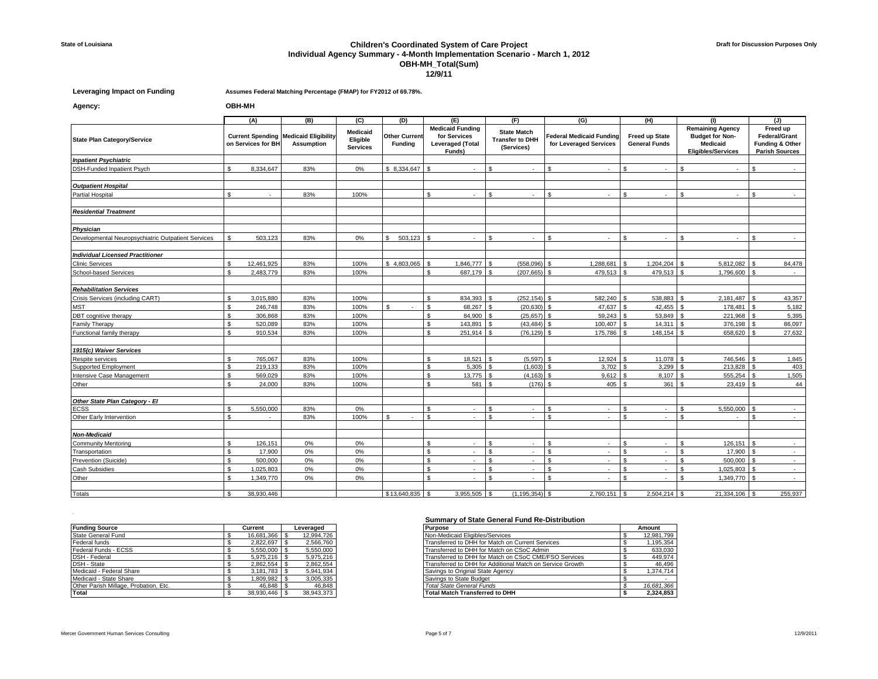## **State of Louisiana Children's Coordinated System of Care Project Individual Agency Summary - 4-Month Implementation Scenario - March 1, 2012 OBH-MH\_Total(Sum) 12/9/11**

**Leveraging Impact on Funding Assumes Federal Matching Percentage (FMAP) for FY2012 of 69.78%.**

**Agency: OBH-MH**

|                                                    |                                               | (A)        | (B)                                              | (C)  | (D)                                    | (E)                                                                          | (F)                                                        | (G)                                                | (H)                                           | (1)                                                                                        | (J)                                                                   |  |  |
|----------------------------------------------------|-----------------------------------------------|------------|--------------------------------------------------|------|----------------------------------------|------------------------------------------------------------------------------|------------------------------------------------------------|----------------------------------------------------|-----------------------------------------------|--------------------------------------------------------------------------------------------|-----------------------------------------------------------------------|--|--|
| <b>State Plan Category/Service</b>                 | <b>Current Spending</b><br>on Services for BH |            | <b>Medicaid Eligibility</b><br><b>Assumption</b> |      | <b>Other Current</b><br><b>Funding</b> | <b>Medicaid Funding</b><br>for Services<br><b>Leveraged (Total</b><br>Funds) | <b>State Match</b><br><b>Transfer to DHH</b><br>(Services) | Federal Medicaid Funding<br>for Leveraged Services | <b>Freed up State</b><br><b>General Funds</b> | <b>Remaining Agency</b><br><b>Budget for Non-</b><br>Medicaid<br><b>Eligibles/Services</b> | Freed up<br>Federal/Grant<br>Funding & Other<br><b>Parish Sources</b> |  |  |
| <b>Inpatient Psychiatric</b>                       |                                               |            |                                                  |      |                                        |                                                                              |                                                            |                                                    |                                               |                                                                                            |                                                                       |  |  |
| <b>DSH-Funded Inpatient Psych</b>                  | \$                                            | 8,334,647  | 83%                                              | 0%   |                                        | $\sim$                                                                       | $\mathbf{\hat{z}}$<br>×.                                   | ፍ<br>$\sim$                                        | \$.<br>$\sim$                                 | \$.<br>÷.                                                                                  | ፍ<br>$\sim$                                                           |  |  |
|                                                    |                                               |            |                                                  |      |                                        |                                                                              |                                                            |                                                    |                                               |                                                                                            |                                                                       |  |  |
| <b>Outpatient Hospital</b>                         | ¢                                             |            |                                                  |      |                                        | $\mathbf{\hat{S}}$                                                           | $\mathbf{\Phi}$                                            |                                                    | $\mathbf{C}$                                  | ¢                                                                                          |                                                                       |  |  |
| <b>Partial Hospital</b>                            |                                               |            | 83%                                              | 100% |                                        |                                                                              |                                                            |                                                    |                                               |                                                                                            |                                                                       |  |  |
| <b>Residential Treatment</b>                       |                                               |            |                                                  |      |                                        |                                                                              |                                                            |                                                    |                                               |                                                                                            |                                                                       |  |  |
| Physician                                          |                                               |            |                                                  |      |                                        |                                                                              |                                                            |                                                    |                                               |                                                                                            |                                                                       |  |  |
| Developmental Neuropsychiatric Outpatient Services | ፍ                                             | 503,123    | 83%                                              | 0%   | 503,123<br>$\mathbf{S}$                | $\mathcal{F}$                                                                | ٠                                                          | ¢                                                  | $\mathbf{C}$<br>$\sim$                        | ¢                                                                                          | $\sim$                                                                |  |  |
| <b>Individual Licensed Practitioner</b>            |                                               |            |                                                  |      |                                        |                                                                              |                                                            |                                                    |                                               |                                                                                            |                                                                       |  |  |
| <b>Clinic Services</b>                             | \$                                            | 12,461,925 | 83%                                              | 100% | $$4,803,065$ \ \$                      | 1,846,777                                                                    | <b>S</b><br>(558,096)                                      | $\mathbf{\hat{S}}$<br>1,288,681                    | l \$<br>1,204,204                             | s.<br>5,812,082                                                                            | l \$<br>84,478                                                        |  |  |
| School-based Services                              | $\mathfrak{S}$                                | 2,483,779  | 83%                                              | 100% |                                        | \$<br>687,179                                                                | (207, 665)<br>$\mathbf{\hat{z}}$                           | $\mathbf{\hat{S}}$<br>479,513                      | $\mathbf{s}$<br>479,513                       | \$<br>1,796,600                                                                            | $\sim$                                                                |  |  |
| <b>Rehabilitation Services</b>                     |                                               |            |                                                  |      |                                        |                                                                              |                                                            |                                                    |                                               |                                                                                            |                                                                       |  |  |
| Crisis Services (including CART)                   | $\mathfrak{S}$                                | 3,015,880  | 83%                                              | 100% |                                        | $\mathbf{s}$<br>834.393                                                      | (252.154)<br>ፍ                                             | 582.240<br>$\mathbf{\hat{S}}$                      | 538.883                                       | 2,181,487<br>\$                                                                            | 43,357                                                                |  |  |
| <b>MST</b>                                         | $\mathbf{s}$                                  | 246,748    | 83%                                              | 100% | s.                                     | \$<br>68.267                                                                 | (20, 630)                                                  | 47,637<br>$\hat{\mathcal{L}}$                      | 42,455<br>$\mathcal{L}$                       | 178,481<br>\$.                                                                             | 5,182                                                                 |  |  |
| DBT cognitive therapy                              | \$                                            | 306,868    | 83%                                              | 100% |                                        | \$<br>84,900                                                                 | (25, 657)                                                  | 59.243                                             | 53,849<br>$\mathcal{F}$                       | 221,968<br>\$.                                                                             | 5,395                                                                 |  |  |
| Family Therapy                                     | \$                                            | 520,089    | 83%                                              | 100% |                                        | $\mathbf{\hat{z}}$<br>143,891                                                | (43, 484)                                                  | 100,407<br>$\hat{\mathcal{L}}$                     | 14,311                                        | 376,198<br>ፍ                                                                               | 86,097                                                                |  |  |
| Functional family therapy                          | \$                                            | 910,534    | 83%                                              | 100% |                                        | $\mathbf{\hat{s}}$<br>251,914                                                | (76, 129)<br>$\mathbf{\hat{S}}$                            | 175,786<br>$\mathbf{\hat{S}}$                      | 148,154<br>$\mathcal{F}$                      | 658,620<br>£.                                                                              | 27,632                                                                |  |  |
| 1915(c) Waiver Services                            |                                               |            |                                                  |      |                                        |                                                                              |                                                            |                                                    |                                               |                                                                                            |                                                                       |  |  |
| Respite services                                   | \$.                                           | 765,067    | 83%                                              | 100% |                                        | $\mathbf{s}$<br>18,521                                                       | (5, 597)                                                   | 12,924                                             | 11,078<br>$\hat{\mathbf{r}}$                  | 746,546<br>ፍ                                                                               | 1,845<br>$\mathbb{R}$                                                 |  |  |
| Supported Employment                               | \$                                            | 219.133    | 83%                                              | 100% |                                        | \$<br>5.305                                                                  | (1.603)                                                    | 3.702                                              | 3,299                                         | 213,828                                                                                    | 403                                                                   |  |  |
| Intensive Case Management                          | $\mathbf{s}$                                  | 569,029    | 83%                                              | 100% |                                        | $\mathbf{s}$<br>13,775                                                       | (4, 163)                                                   | 9,612<br>£.                                        | 8,107                                         | 555,254                                                                                    | 1,505                                                                 |  |  |
| Other                                              | ¢                                             | 24,000     | 83%                                              | 100% |                                        | $\mathbf{\hat{x}}$<br>581                                                    | (176)                                                      | 405<br>$\mathbf{C}$                                | 361<br>١s                                     | 23,419<br>¢                                                                                | 44                                                                    |  |  |
| Other State Plan Category - El                     |                                               |            |                                                  |      |                                        |                                                                              |                                                            |                                                    |                                               |                                                                                            |                                                                       |  |  |
| <b>ECSS</b>                                        | $\mathfrak{L}$                                | 5.550.000  | 83%                                              | 0%   |                                        | \$<br>$\sim$                                                                 | $\mathfrak{s}$<br>$\sim$                                   | -S<br>$\sim$                                       | $\mathbf{f}$<br>$\sim$                        | $5.550.000$ \$<br>\$                                                                       | $\sim$                                                                |  |  |
| Other Early Intervention                           | \$                                            |            | 83%                                              | 100% | S.                                     | $\mathbf{\hat{s}}$                                                           | $\mathbf{\hat{S}}$<br>٠                                    | $\mathbf{\hat{S}}$                                 | $\mathbf{s}$<br>$\sim$                        | \$                                                                                         | £.<br>$\sim$                                                          |  |  |
| <b>Non-Medicaid</b>                                |                                               |            |                                                  |      |                                        |                                                                              |                                                            |                                                    |                                               |                                                                                            |                                                                       |  |  |
| <b>Community Mentoring</b>                         | \$                                            | 126,151    | 0%                                               | 0%   |                                        | \$                                                                           | ፍ<br>٠                                                     | ፍ<br>$\overline{\phantom{a}}$                      | $\mathbf{r}$<br>$\sim$                        | 126,151<br>ፍ                                                                               | l \$<br>$\sim$                                                        |  |  |
| Transportation                                     | $\mathfrak{s}$                                | 17,900     | $0\%$                                            | 0%   |                                        | \$                                                                           | $\mathbf{\hat{S}}$<br>÷                                    | \$.                                                | £.<br>$\sim$                                  | 17.900                                                                                     | $\sim$                                                                |  |  |
| Prevention (Suicide)                               | $\mathfrak{s}$                                | 500,000    | 0%                                               | 0%   |                                        | $\mathbf{\hat{s}}$<br>$\sim$                                                 | £.<br>$\sim$                                               | $\mathbf{C}$<br>$\sim$                             | $\mathbf{f}$<br>$\sim$                        | 500,000<br>\$                                                                              | $\sim$                                                                |  |  |
| <b>Cash Subsidies</b>                              | \$                                            | 1,025,803  | 0%                                               | 0%   |                                        | $\mathbf{s}$                                                                 | ፍ<br>٠                                                     | ፍ<br>$\overline{\phantom{a}}$                      | \$.<br>$\sim$                                 | 1,025,803<br>\$                                                                            | $\mathbf{\hat{z}}$<br>$\sim$                                          |  |  |
| Other                                              | \$                                            | 1.349.770  | 0%                                               | 0%   |                                        | $\mathbf{\hat{S}}$                                                           | ፍ                                                          |                                                    | ፍ<br>×.                                       | 1.349.770                                                                                  | $\sim$                                                                |  |  |
| Totals                                             | \$                                            | 38.930.446 |                                                  |      | $$13,640,835$ \$                       | 3.955.505                                                                    | (1.195.354)                                                | 2.760.151                                          | 2.504.214                                     | 21.334.106                                                                                 | 255,937                                                               |  |  |

|                                       |  |                 |  |            | Summary of State General Fund Re-Distribution             |            |
|---------------------------------------|--|-----------------|--|------------|-----------------------------------------------------------|------------|
| <b>Funding Source</b>                 |  | Current         |  | Leveraged  | <b>Purpose</b>                                            | Amount     |
| State General Fund                    |  | 16.681.366 \$   |  | 12,994,726 | Non-Medicaid Eligibles/Services                           | 12,981,799 |
| Federal funds                         |  | 2.822.697       |  | 2,566,760  | Transferred to DHH for Match on Current Services          | 1.195.354  |
| Federal Funds - ECSS                  |  | 5.550.000 \$    |  | 5,550,000  | Transferred to DHH for Match on CSoC Admin                | 633,030    |
| DSH - Federal                         |  | $5.975.216$ \$  |  | 5,975,216  | Transferred to DHH for Match on CSoC CME/FSO Services     | 449,974    |
| DSH - State                           |  | $2.862.554$ \\$ |  | 2,862,554  | Transferred to DHH for Additional Match on Service Growth | 46.496     |
| Medicaid - Federal Share              |  | $3.181.783$ \$  |  | 5,941,934  | Savings to Original State Agency                          | 1.374.714  |
| Medicaid - State Share                |  | 1.809.982 \$    |  | 3,005,335  | Savings to State Budget                                   |            |
| Other Parish Millage, Probation, Etc. |  | 46.848          |  | 46.848     | <b>Total State General Funds</b>                          | 16,681,366 |
| Total                                 |  | 38.930.446      |  | 38.943.373 | <b>Total Match Transferred to DHH</b>                     | 2.324.853  |

| urpose <sup>,</sup>                                       |   | Amount     |
|-----------------------------------------------------------|---|------------|
| <b>Jon-Medicaid Eligibles/Services</b>                    |   | 12,981,799 |
| Transferred to DHH for Match on Current Services          |   | 1.195.354  |
| Transferred to DHH for Match on CSoC Admin                |   | 633.030    |
| ransferred to DHH for Match on CSoC CME/FSO Services      |   | 449.974    |
| Transferred to DHH for Additional Match on Service Growth |   | 46.496     |
| Savings to Original State Agency                          |   | 1.374.714  |
| Savings to State Budget                                   |   |            |
| <b>Fotal State General Funds</b>                          |   | 16,681,366 |
| otal Match Transferred to DHH                             | s | 2.324.853  |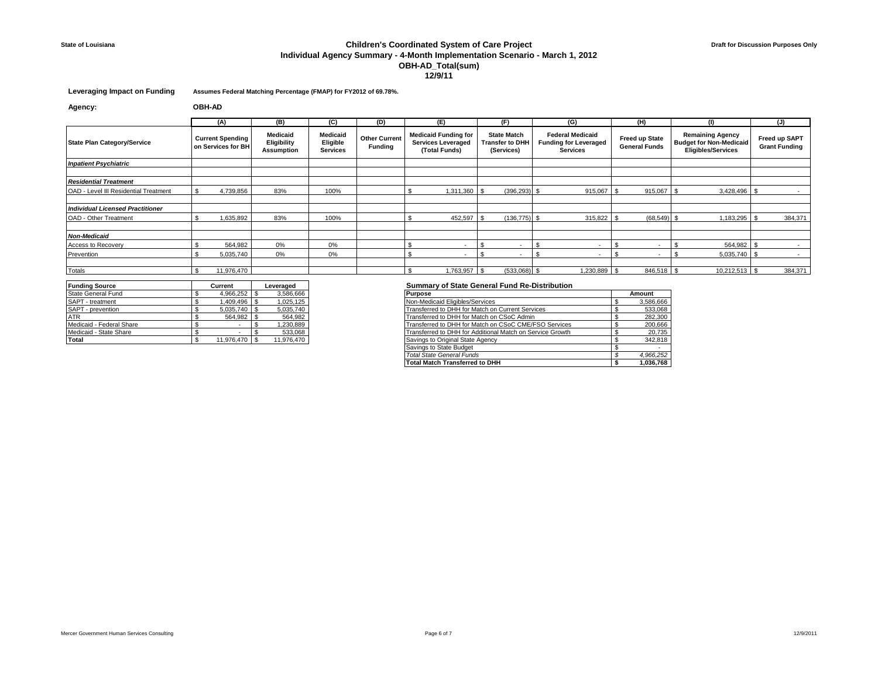# **State of Louisiana Children's Coordinated System of Care Project Individual Agency Summary - 4-Month Implementation Scenario - March 1, 2012 OBH-AD\_Total(sum) 12/9/11**

### **Leveraging Impact on Funding Assumes Federal Matching Percentage (FMAP) for FY2012 of 69.78%.**

**Agency: OBH-AD**

|                                         | (A)                                           | (B)                                   | (C)                                            | (D)                                    | (E)                                                                       | (F)                                                        | (G)                                                                 | (H)                                           |                                                                                        | (J)                                   |  |
|-----------------------------------------|-----------------------------------------------|---------------------------------------|------------------------------------------------|----------------------------------------|---------------------------------------------------------------------------|------------------------------------------------------------|---------------------------------------------------------------------|-----------------------------------------------|----------------------------------------------------------------------------------------|---------------------------------------|--|
| <b>State Plan Category/Service</b>      | <b>Current Spending</b><br>on Services for BH | Medicaid<br>Eligibility<br>Assumption | <b>Medicaid</b><br>Eligible<br><b>Services</b> | <b>Other Current</b><br><b>Funding</b> | <b>Medicaid Funding for</b><br><b>Services Leveraged</b><br>(Total Funds) | <b>State Match</b><br><b>Transfer to DHH</b><br>(Services) | <b>Federal Medicaid</b><br><b>Funding for Leveraged</b><br>Services | <b>Freed up State</b><br><b>General Funds</b> | <b>Remaining Agency</b><br><b>Budget for Non-Medicaid</b><br><b>Eligibles/Services</b> | Freed up SAPT<br><b>Grant Funding</b> |  |
| <b>Inpatient Psychiatric</b>            |                                               |                                       |                                                |                                        |                                                                           |                                                            |                                                                     |                                               |                                                                                        |                                       |  |
|                                         |                                               |                                       |                                                |                                        |                                                                           |                                                            |                                                                     |                                               |                                                                                        |                                       |  |
| <b>Residential Treatment</b>            |                                               |                                       |                                                |                                        |                                                                           |                                                            |                                                                     |                                               |                                                                                        |                                       |  |
| OAD - Level III Residential Treatment   | 4,739,856                                     | 83%                                   | 100%                                           |                                        | 1,311,360                                                                 | $(396, 293)$ \$                                            | 915,067                                                             | 915.067                                       | 3,428,496                                                                              |                                       |  |
|                                         |                                               |                                       |                                                |                                        |                                                                           |                                                            |                                                                     |                                               |                                                                                        |                                       |  |
| <b>Individual Licensed Practitioner</b> |                                               |                                       |                                                |                                        |                                                                           |                                                            |                                                                     |                                               |                                                                                        |                                       |  |
| OAD - Other Treatment                   | 1,635,892                                     | 83%                                   | 100%                                           |                                        | 452,597                                                                   | $(136, 775)$ \$                                            | $315,822$ \$                                                        | $(68,549)$ \$                                 | 1,183,295                                                                              | 384,371                               |  |
|                                         |                                               |                                       |                                                |                                        |                                                                           |                                                            |                                                                     |                                               |                                                                                        |                                       |  |
| <b>Non-Medicaid</b>                     |                                               |                                       |                                                |                                        |                                                                           |                                                            |                                                                     |                                               |                                                                                        |                                       |  |
| Access to Recovery                      | 564,982                                       | 0%                                    | 0%                                             |                                        |                                                                           |                                                            |                                                                     |                                               | 564,982                                                                                | $\sim$                                |  |
| Prevention                              | 5,035,740                                     | 0%                                    | 0%                                             |                                        | $\overline{\phantom{a}}$                                                  | $\overline{\phantom{a}}$                                   | $\overline{\phantom{a}}$                                            |                                               | 5,035,740                                                                              | $\sim$                                |  |
|                                         |                                               |                                       |                                                |                                        |                                                                           |                                                            |                                                                     |                                               |                                                                                        |                                       |  |
| Totals                                  | 11,976,470                                    |                                       |                                                |                                        | 1,763,957                                                                 | (533,068)                                                  | 1,230,889 \$                                                        | 846,518                                       | 10,212,513                                                                             | 384,371                               |  |

| <b>Funding Source</b>    | Current    | Leveraged |            |  |
|--------------------------|------------|-----------|------------|--|
| State General Fund       | 4,966,252  |           | 3,586,666  |  |
| SAPT - treatment         | 1.409.496  |           | 1.025.125  |  |
| SAPT - prevention        | 5,035,740  |           | 5,035,740  |  |
| <b>ATR</b>               | 564.982    |           | 564.982    |  |
| Medicaid - Federal Share |            |           | 1,230,889  |  |
| Medicaid - State Share   |            |           | 533.068    |  |
| Total                    | 11.976.470 |           | 11.976.470 |  |

| State General Fund       | 4,966,252 \$  | 3,586,666  | <b>Purpose</b>                                            | Amount    |
|--------------------------|---------------|------------|-----------------------------------------------------------|-----------|
| SAPT - treatment         | 1.409.496 \$  | 1,025,125  | Non-Medicaid Eligibles/Services                           | 3,586,666 |
| SAPT - prevention        | $5.035.740$ S | 5,035,740  | Transferred to DHH for Match on Current Services          | 533,068   |
| ATR                      | 564.982 \$    | 564,982    | Transferred to DHH for Match on CSoC Admin                | 282,300   |
| Medicaid - Federal Share |               | 1.230.889  | Transferred to DHH for Match on CSoC CME/FSO Services     | 200,666   |
| Medicaid - State Share   |               | 533,068    | Transferred to DHH for Additional Match on Service Growth | 20,735    |
| Total                    | 11.976.470 \$ | 11,976,470 | Savings to Original State Agency                          | 342,818   |
|                          |               |            | Savings to State Budget                                   |           |
|                          |               |            | <b>Total State General Funds</b>                          | 4,966,252 |
|                          |               |            | <b>Total Match Transferred to DHH</b>                     | 1.036.768 |